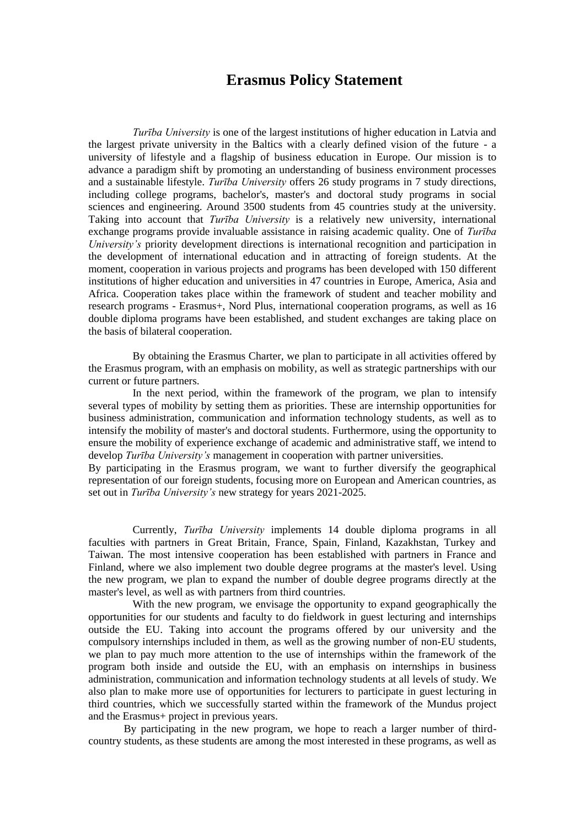## **Erasmus Policy Statement**

*Turība University* is one of the largest institutions of higher education in Latvia and the largest private university in the Baltics with a clearly defined vision of the future - a university of lifestyle and a flagship of business education in Europe. Our mission is to advance a paradigm shift by promoting an understanding of business environment processes and a sustainable lifestyle. *Turība University* offers 26 study programs in 7 study directions, including college programs, bachelor's, master's and doctoral study programs in social sciences and engineering. Around 3500 students from 45 countries study at the university. Taking into account that *Turība University* is a relatively new university, international exchange programs provide invaluable assistance in raising academic quality. One of *Turība University's* priority development directions is international recognition and participation in the development of international education and in attracting of foreign students. At the moment, cooperation in various projects and programs has been developed with 150 different institutions of higher education and universities in 47 countries in Europe, America, Asia and Africa. Cooperation takes place within the framework of student and teacher mobility and research programs - Erasmus+, Nord Plus, international cooperation programs, as well as 16 double diploma programs have been established, and student exchanges are taking place on the basis of bilateral cooperation.

By obtaining the Erasmus Charter, we plan to participate in all activities offered by the Erasmus program, with an emphasis on mobility, as well as strategic partnerships with our current or future partners.

In the next period, within the framework of the program, we plan to intensify several types of mobility by setting them as priorities. These are internship opportunities for business administration, communication and information technology students, as well as to intensify the mobility of master's and doctoral students. Furthermore, using the opportunity to ensure the mobility of experience exchange of academic and administrative staff, we intend to develop *Turība University's* management in cooperation with partner universities.

By participating in the Erasmus program, we want to further diversify the geographical representation of our foreign students, focusing more on European and American countries, as set out in *Turība University's* new strategy for years 2021-2025.

Currently, *Turība University* implements 14 double diploma programs in all faculties with partners in Great Britain, France, Spain, Finland, Kazakhstan, Turkey and Taiwan. The most intensive cooperation has been established with partners in France and Finland, where we also implement two double degree programs at the master's level. Using the new program, we plan to expand the number of double degree programs directly at the master's level, as well as with partners from third countries.

With the new program, we envisage the opportunity to expand geographically the opportunities for our students and faculty to do fieldwork in guest lecturing and internships outside the EU. Taking into account the programs offered by our university and the compulsory internships included in them, as well as the growing number of non-EU students, we plan to pay much more attention to the use of internships within the framework of the program both inside and outside the EU, with an emphasis on internships in business administration, communication and information technology students at all levels of study. We also plan to make more use of opportunities for lecturers to participate in guest lecturing in third countries, which we successfully started within the framework of the Mundus project and the Erasmus+ project in previous years.

By participating in the new program, we hope to reach a larger number of thirdcountry students, as these students are among the most interested in these programs, as well as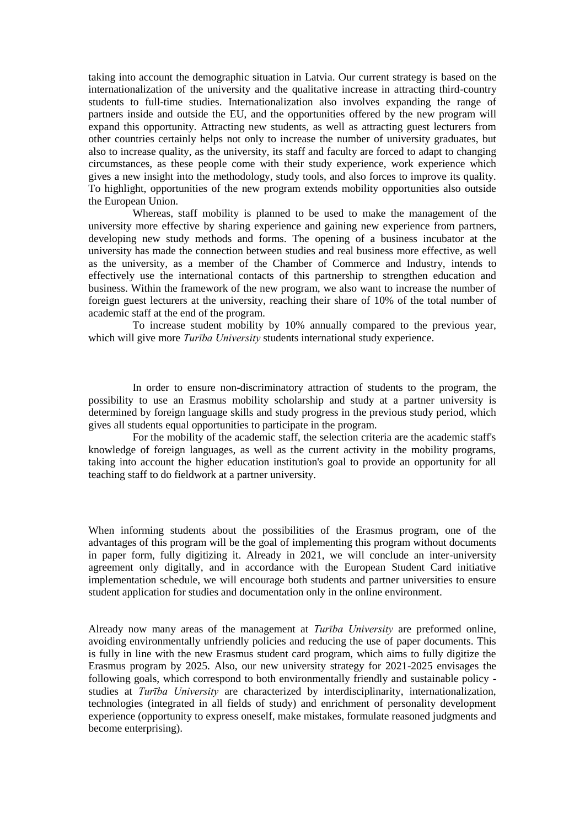taking into account the demographic situation in Latvia. Our current strategy is based on the internationalization of the university and the qualitative increase in attracting third-country students to full-time studies. Internationalization also involves expanding the range of partners inside and outside the EU, and the opportunities offered by the new program will expand this opportunity. Attracting new students, as well as attracting guest lecturers from other countries certainly helps not only to increase the number of university graduates, but also to increase quality, as the university, its staff and faculty are forced to adapt to changing circumstances, as these people come with their study experience, work experience which gives a new insight into the methodology, study tools, and also forces to improve its quality. To highlight, opportunities of the new program extends mobility opportunities also outside the European Union.

Whereas, staff mobility is planned to be used to make the management of the university more effective by sharing experience and gaining new experience from partners, developing new study methods and forms. The opening of a business incubator at the university has made the connection between studies and real business more effective, as well as the university, as a member of the Chamber of Commerce and Industry, intends to effectively use the international contacts of this partnership to strengthen education and business. Within the framework of the new program, we also want to increase the number of foreign guest lecturers at the university, reaching their share of 10% of the total number of academic staff at the end of the program.

To increase student mobility by 10% annually compared to the previous year, which will give more *Turība University* students international study experience.

In order to ensure non-discriminatory attraction of students to the program, the possibility to use an Erasmus mobility scholarship and study at a partner university is determined by foreign language skills and study progress in the previous study period, which gives all students equal opportunities to participate in the program.

For the mobility of the academic staff, the selection criteria are the academic staff's knowledge of foreign languages, as well as the current activity in the mobility programs, taking into account the higher education institution's goal to provide an opportunity for all teaching staff to do fieldwork at a partner university.

When informing students about the possibilities of the Erasmus program, one of the advantages of this program will be the goal of implementing this program without documents in paper form, fully digitizing it. Already in 2021, we will conclude an inter-university agreement only digitally, and in accordance with the European Student Card initiative implementation schedule, we will encourage both students and partner universities to ensure student application for studies and documentation only in the online environment.

Already now many areas of the management at *Turība University* are preformed online, avoiding environmentally unfriendly policies and reducing the use of paper documents. This is fully in line with the new Erasmus student card program, which aims to fully digitize the Erasmus program by 2025. Also, our new university strategy for 2021-2025 envisages the following goals, which correspond to both environmentally friendly and sustainable policy studies at *Turība University* are characterized by interdisciplinarity, internationalization, technologies (integrated in all fields of study) and enrichment of personality development experience (opportunity to express oneself, make mistakes, formulate reasoned judgments and become enterprising).